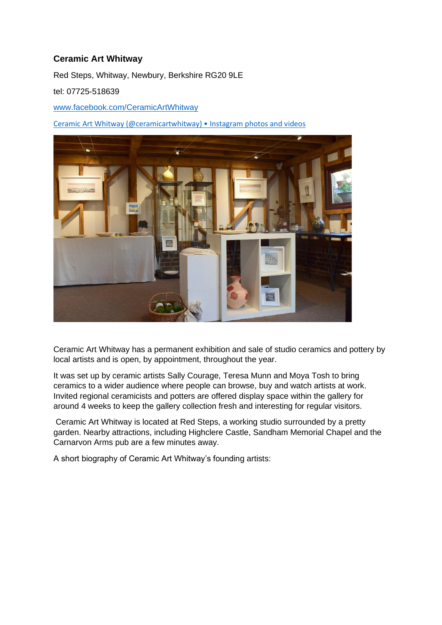## **Ceramic Art Whitway**

Red Steps, Whitway, Newbury, Berkshire RG20 9LE

tel: 07725-518639

[www.facebook.com/CeramicArtWhitway](http://www.facebook.com/CeramicArtWhitway)

[Ceramic Art Whitway \(@ceramicartwhitway\) • Instagram photos and videos](https://www.instagram.com/ceramicartwhitway/)



Ceramic Art Whitway has a permanent exhibition and sale of studio ceramics and pottery by local artists and is open, by appointment, throughout the year.

It was set up by ceramic artists Sally Courage, Teresa Munn and Moya Tosh to bring ceramics to a wider audience where people can browse, buy and watch artists at work. Invited regional ceramicists and potters are offered display space within the gallery for around 4 weeks to keep the gallery collection fresh and interesting for regular visitors.

Ceramic Art Whitway is located at Red Steps, a working studio surrounded by a pretty garden. Nearby attractions, including Highclere Castle, Sandham Memorial Chapel and the Carnarvon Arms pub are a few minutes away.

A short biography of Ceramic Art Whitway's founding artists: